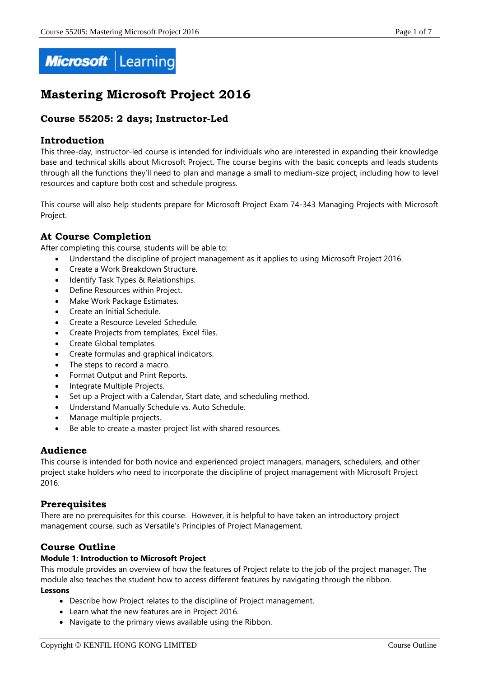

# **Mastering Microsoft Project 2016**

# **Course 55205: 2 days; Instructor-Led**

## **Introduction**

This three-day, instructor-led course is intended for individuals who are interested in expanding their knowledge base and technical skills about Microsoft Project. The course begins with the basic concepts and leads students through all the functions they'll need to plan and manage a small to medium-size project, including how to level resources and capture both cost and schedule progress.

This course will also help students prepare for Microsoft Project Exam 74-343 Managing Projects with Microsoft Project.

# **At Course Completion**

After completing this course, students will be able to:

- Understand the discipline of project management as it applies to using Microsoft Project 2016.
- Create a Work Breakdown Structure.
- Identify Task Types & Relationships.
- Define Resources within Project.
- Make Work Package Estimates.
- Create an Initial Schedule.
- Create a Resource Leveled Schedule.
- Create Projects from templates, Excel files.
- Create Global templates.
- Create formulas and graphical indicators.
- The steps to record a macro.
- Format Output and Print Reports.
- Integrate Multiple Projects.
- Set up a Project with a Calendar, Start date, and scheduling method.
- Understand Manually Schedule vs. Auto Schedule.
- Manage multiple projects.
- Be able to create a master project list with shared resources.

# **Audience**

This course is intended for both novice and experienced project managers, managers, schedulers, and other project stake holders who need to incorporate the discipline of project management with Microsoft Project 2016.

# **Prerequisites**

There are no prerequisites for this course. However, it is helpful to have taken an introductory project management course, such as Versatile's Principles of Project Management.

# **Course Outline**

### **Module 1: Introduction to Microsoft Project**

This module provides an overview of how the features of Project relate to the job of the project manager. The module also teaches the student how to access different features by navigating through the ribbon. **Lessons**

- Describe how Project relates to the discipline of Project management.
- Learn what the new features are in Project 2016.
- Navigate to the primary views available using the Ribbon.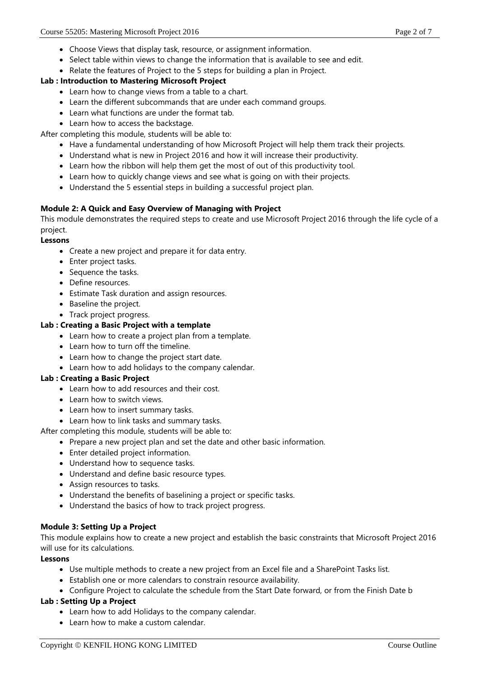- Choose Views that display task, resource, or assignment information.
- Select table within views to change the information that is available to see and edit.
- Relate the features of Project to the 5 steps for building a plan in Project.

#### **Lab : Introduction to Mastering Microsoft Project**

- Learn how to change views from a table to a chart.
- Learn the different subcommands that are under each command groups.
- Learn what functions are under the format tab.
- Learn how to access the backstage.

After completing this module, students will be able to:

- Have a fundamental understanding of how Microsoft Project will help them track their projects.
- Understand what is new in Project 2016 and how it will increase their productivity.
- Learn how the ribbon will help them get the most of out of this productivity tool.
- Learn how to quickly change views and see what is going on with their projects.
- Understand the 5 essential steps in building a successful project plan.

### **Module 2: A Quick and Easy Overview of Managing with Project**

This module demonstrates the required steps to create and use Microsoft Project 2016 through the life cycle of a project.

**Lessons**

- Create a new project and prepare it for data entry.
- Enter project tasks.
- Sequence the tasks.
- Define resources.
- Estimate Task duration and assign resources.
- Baseline the project.
- Track project progress.

#### **Lab : Creating a Basic Project with a template**

- Learn how to create a project plan from a template.
- Learn how to turn off the timeline.
- Learn how to change the project start date.
- Learn how to add holidays to the company calendar.

#### **Lab : Creating a Basic Project**

- Learn how to add resources and their cost.
- Learn how to switch views.
- Learn how to insert summary tasks.
- Learn how to link tasks and summary tasks.

After completing this module, students will be able to:

- Prepare a new project plan and set the date and other basic information.
- Enter detailed project information.
- Understand how to sequence tasks.
- Understand and define basic resource types.
- Assign resources to tasks.
- Understand the benefits of baselining a project or specific tasks.
- Understand the basics of how to track project progress.

### **Module 3: Setting Up a Project**

This module explains how to create a new project and establish the basic constraints that Microsoft Project 2016 will use for its calculations.

#### **Lessons**

- Use multiple methods to create a new project from an Excel file and a SharePoint Tasks list.
- Establish one or more calendars to constrain resource availability.
- Configure Project to calculate the schedule from the Start Date forward, or from the Finish Date b

### **Lab : Setting Up a Project**

- Learn how to add Holidays to the company calendar.
- Learn how to make a custom calendar.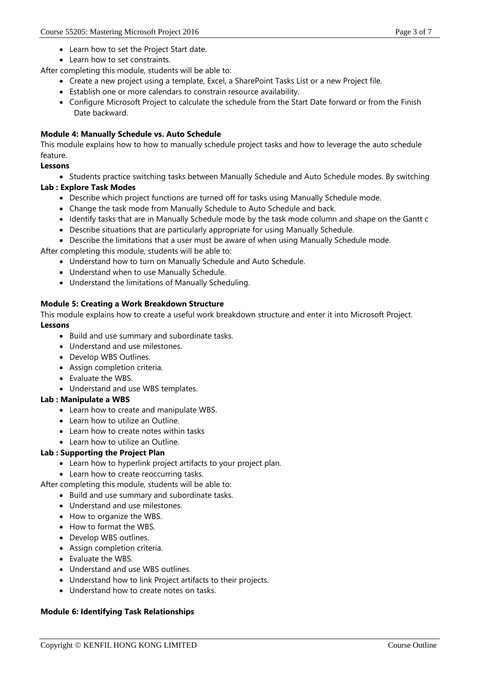- Learn how to set the Project Start date.
- Learn how to set constraints.

After completing this module, students will be able to:

- Create a new project using a template, Excel, a SharePoint Tasks List or a new Project file.
- Establish one or more calendars to constrain resource availability.
- Configure Microsoft Project to calculate the schedule from the Start Date forward or from the Finish Date backward.

### **Module 4: Manually Schedule vs. Auto Schedule**

This module explains how to how to manually schedule project tasks and how to leverage the auto schedule feature.

### **Lessons**

• Students practice switching tasks between Manually Schedule and Auto Schedule modes. By switching

### **Lab : Explore Task Modes**

- Describe which project functions are turned off for tasks using Manually Schedule mode.
- Change the task mode from Manually Schedule to Auto Schedule and back.
- Identify tasks that are in Manually Schedule mode by the task mode column and shape on the Gantt c
- Describe situations that are particularly appropriate for using Manually Schedule.
- Describe the limitations that a user must be aware of when using Manually Schedule mode.

After completing this module, students will be able to:

- Understand how to turn on Manually Schedule and Auto Schedule.
- Understand when to use Manually Schedule.
- Understand the limitations of Manually Scheduling.

### **Module 5: Creating a Work Breakdown Structure**

This module explains how to create a useful work breakdown structure and enter it into Microsoft Project. **Lessons**

- Build and use summary and subordinate tasks.
- Understand and use milestones.
- Develop WBS Outlines.
- Assign completion criteria.
- Evaluate the WBS.
- Understand and use WBS templates.

### **Lab : Manipulate a WBS**

- Learn how to create and manipulate WBS.
- Learn how to utilize an Outline.
- Learn how to create notes within tasks
- Learn how to utilize an Outline.

### **Lab : Supporting the Project Plan**

- Learn how to hyperlink project artifacts to your project plan.
- Learn how to create reoccurring tasks.

After completing this module, students will be able to:

- Build and use summary and subordinate tasks.
- Understand and use milestones.
- How to organize the WBS.
- How to format the WBS.
- Develop WBS outlines.
- Assign completion criteria.
- Evaluate the WBS.
- Understand and use WBS outlines.
- Understand how to link Project artifacts to their projects.
- Understand how to create notes on tasks.

### **Module 6: Identifying Task Relationships**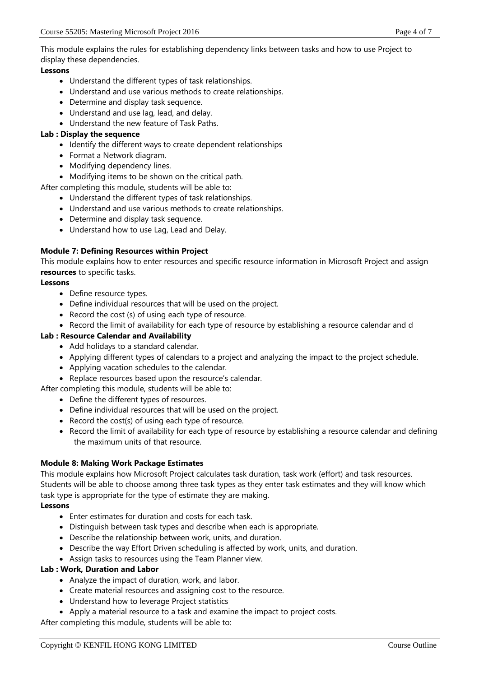This module explains the rules for establishing dependency links between tasks and how to use Project to display these dependencies.

### **Lessons**

- Understand the different types of task relationships.
- Understand and use various methods to create relationships.
- Determine and display task sequence.
- Understand and use lag, lead, and delay.
- Understand the new feature of Task Paths.

### **Lab : Display the sequence**

- Identify the different ways to create dependent relationships
- Format a Network diagram.
- Modifying dependency lines.
- Modifying items to be shown on the critical path.

After completing this module, students will be able to:

- Understand the different types of task relationships.
- Understand and use various methods to create relationships.
- Determine and display task sequence.
- Understand how to use Lag, Lead and Delay.

### **Module 7: Defining Resources within Project**

This module explains how to enter resources and specific resource information in Microsoft Project and assign **resources** to specific tasks.

### **Lessons**

- Define resource types.
- Define individual resources that will be used on the project.
- Record the cost (s) of using each type of resource.
- Record the limit of availability for each type of resource by establishing a resource calendar and d

### **Lab : Resource Calendar and Availability**

- Add holidays to a standard calendar.
- Applying different types of calendars to a project and analyzing the impact to the project schedule.
- Applying vacation schedules to the calendar.
- Replace resources based upon the resource's calendar.

After completing this module, students will be able to:

- Define the different types of resources.
- Define individual resources that will be used on the project.
- Record the cost(s) of using each type of resource.
- Record the limit of availability for each type of resource by establishing a resource calendar and defining the maximum units of that resource.

### **Module 8: Making Work Package Estimates**

This module explains how Microsoft Project calculates task duration, task work (effort) and task resources. Students will be able to choose among three task types as they enter task estimates and they will know which task type is appropriate for the type of estimate they are making.

### **Lessons**

- Enter estimates for duration and costs for each task.
- Distinguish between task types and describe when each is appropriate.
- Describe the relationship between work, units, and duration.
- Describe the way Effort Driven scheduling is affected by work, units, and duration.
- Assign tasks to resources using the Team Planner view.

### **Lab : Work, Duration and Labor**

- Analyze the impact of duration, work, and labor.
- Create material resources and assigning cost to the resource.
- Understand how to leverage Project statistics
- Apply a material resource to a task and examine the impact to project costs.

After completing this module, students will be able to: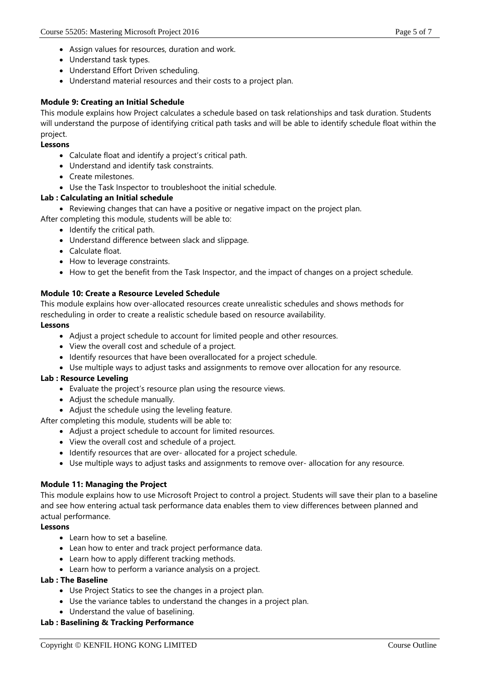- Assign values for resources, duration and work.
- Understand task types.
- Understand Effort Driven scheduling.
- Understand material resources and their costs to a project plan.

### **Module 9: Creating an Initial Schedule**

This module explains how Project calculates a schedule based on task relationships and task duration. Students will understand the purpose of identifying critical path tasks and will be able to identify schedule float within the project.

#### **Lessons**

- Calculate float and identify a project's critical path.
- Understand and identify task constraints.
- Create milestones.
- Use the Task Inspector to troubleshoot the initial schedule.

### **Lab : Calculating an Initial schedule**

Reviewing changes that can have a positive or negative impact on the project plan.

After completing this module, students will be able to:

- $\bullet$  Identify the critical path.
- Understand difference between slack and slippage.
- Calculate float.
- How to leverage constraints.
- How to get the benefit from the Task Inspector, and the impact of changes on a project schedule.

### **Module 10: Create a Resource Leveled Schedule**

This module explains how over-allocated resources create unrealistic schedules and shows methods for rescheduling in order to create a realistic schedule based on resource availability.

### **Lessons**

- Adjust a project schedule to account for limited people and other resources.
- View the overall cost and schedule of a project.
- Identify resources that have been overallocated for a project schedule.
- Use multiple ways to adjust tasks and assignments to remove over allocation for any resource.

### **Lab : Resource Leveling**

- Evaluate the project's resource plan using the resource views.
- Adjust the schedule manually.
- Adjust the schedule using the leveling feature.

After completing this module, students will be able to:

- Adjust a project schedule to account for limited resources.
- View the overall cost and schedule of a project.
- Identify resources that are over- allocated for a project schedule.
- Use multiple ways to adjust tasks and assignments to remove over- allocation for any resource.

### **Module 11: Managing the Project**

This module explains how to use Microsoft Project to control a project. Students will save their plan to a baseline and see how entering actual task performance data enables them to view differences between planned and actual performance.

### **Lessons**

- $\bullet$  Learn how to set a baseline.
- Lean how to enter and track project performance data.
- Learn how to apply different tracking methods.
- Learn how to perform a variance analysis on a project.

### **Lab : The Baseline**

- Use Project Statics to see the changes in a project plan.
- Use the variance tables to understand the changes in a project plan.
- Understand the value of baselining.

### **Lab : Baselining & Tracking Performance**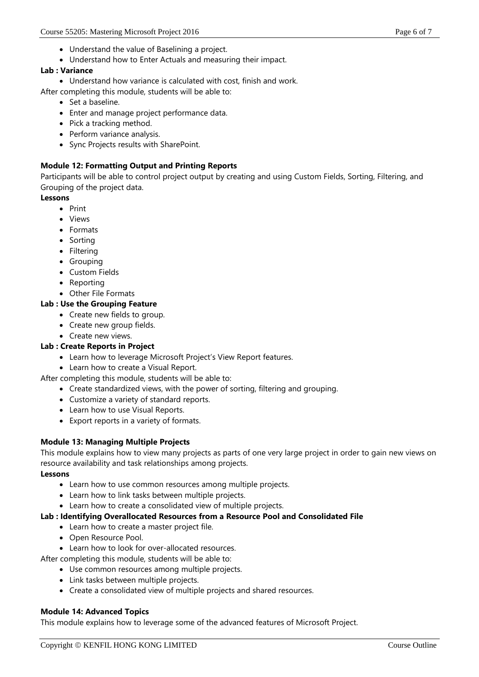- Understand the value of Baselining a project.
- Understand how to Enter Actuals and measuring their impact.

### **Lab : Variance**

Understand how variance is calculated with cost, finish and work.

After completing this module, students will be able to:

- Set a baseline.
- Enter and manage project performance data.
- Pick a tracking method.
- Perform variance analysis.
- Sync Projects results with SharePoint.

### **Module 12: Formatting Output and Printing Reports**

Participants will be able to control project output by creating and using Custom Fields, Sorting, Filtering, and Grouping of the project data.

### **Lessons**

- $\bullet$  Print
- Views
- Formats
- Sorting
- Filtering
- Grouping
- Custom Fields
- Reporting
- Other File Formats

### **Lab : Use the Grouping Feature**

- Create new fields to group.
- Create new group fields.
- Create new views.

### **Lab : Create Reports in Project**

- Learn how to leverage Microsoft Project's View Report features.
- Learn how to create a Visual Report.
- After completing this module, students will be able to:
	- Create standardized views, with the power of sorting, filtering and grouping.
	- Customize a variety of standard reports.
	- Learn how to use Visual Reports.
	- Export reports in a variety of formats.

### **Module 13: Managing Multiple Projects**

This module explains how to view many projects as parts of one very large project in order to gain new views on resource availability and task relationships among projects.

#### **Lessons**

- Learn how to use common resources among multiple projects.
- Learn how to link tasks between multiple projects.
- Learn how to create a consolidated view of multiple projects.

### **Lab : Identifying Overallocated Resources from a Resource Pool and Consolidated File**

- Learn how to create a master project file.
- Open Resource Pool.
- Learn how to look for over-allocated resources.

After completing this module, students will be able to:

- Use common resources among multiple projects.
- Link tasks between multiple projects.
- Create a consolidated view of multiple projects and shared resources.

#### **Module 14: Advanced Topics**

This module explains how to leverage some of the advanced features of Microsoft Project.